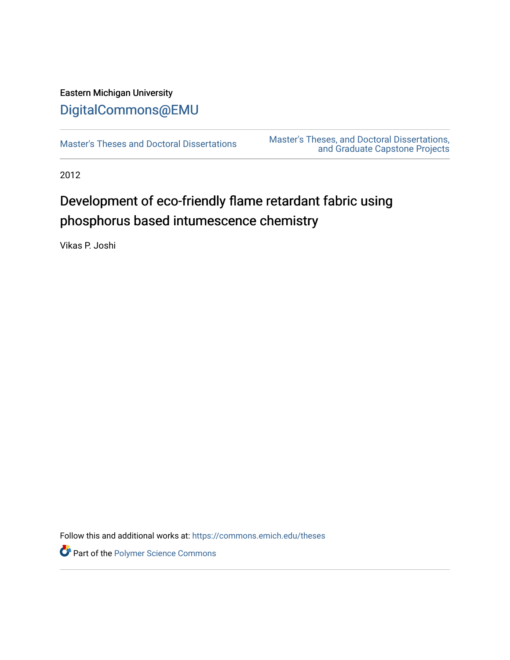# Eastern Michigan University [DigitalCommons@EMU](https://commons.emich.edu/)

[Master's Theses and Doctoral Dissertations](https://commons.emich.edu/theses) Master's Theses, and Doctoral Dissertations, [and Graduate Capstone Projects](https://commons.emich.edu/etd) 

2012

# Development of eco-friendly flame retardant fabric using phosphorus based intumescence chemistry

Vikas P. Joshi

Follow this and additional works at: [https://commons.emich.edu/theses](https://commons.emich.edu/theses?utm_source=commons.emich.edu%2Ftheses%2F1141&utm_medium=PDF&utm_campaign=PDFCoverPages) 

Part of the [Polymer Science Commons](https://network.bepress.com/hgg/discipline/246?utm_source=commons.emich.edu%2Ftheses%2F1141&utm_medium=PDF&utm_campaign=PDFCoverPages)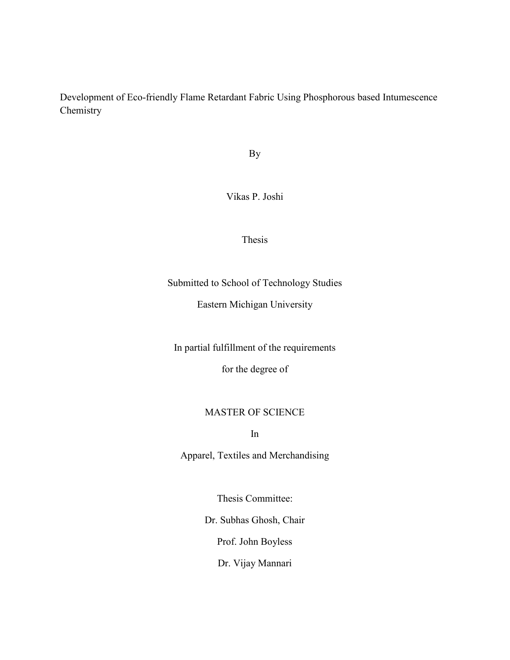Development of Eco-friendly Flame Retardant Fabric Using Phosphorous based Intumescence Chemistry

By

Vikas P. Joshi

Thesis

Submitted to School of Technology Studies

Eastern Michigan University

In partial fulfillment of the requirements

for the degree of

#### MASTER OF SCIENCE

In

Apparel, Textiles and Merchandising

Thesis Committee:

Dr. Subhas Ghosh, Chair

Prof. John Boyless

Dr. Vijay Mannari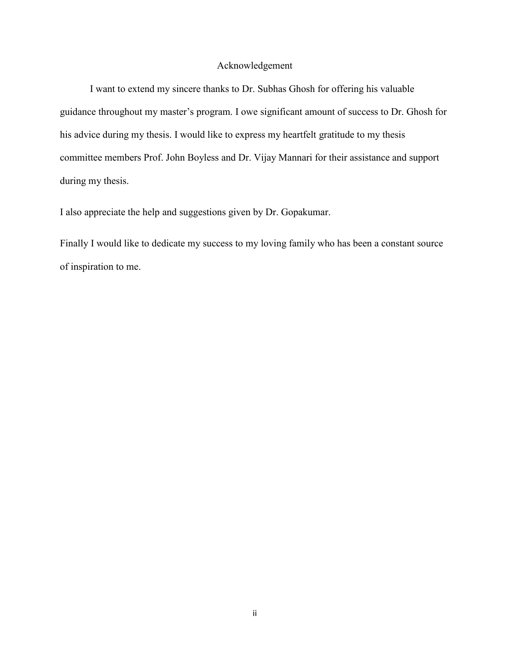#### Acknowledgement

<span id="page-2-0"></span>I want to extend my sincere thanks to Dr. Subhas Ghosh for offering his valuable guidance throughout my master's program. I owe significant amount of success to Dr. Ghosh for his advice during my thesis. I would like to express my heartfelt gratitude to my thesis committee members Prof. John Boyless and Dr. Vijay Mannari for their assistance and support during my thesis.

I also appreciate the help and suggestions given by Dr. Gopakumar.

Finally I would like to dedicate my success to my loving family who has been a constant source of inspiration to me.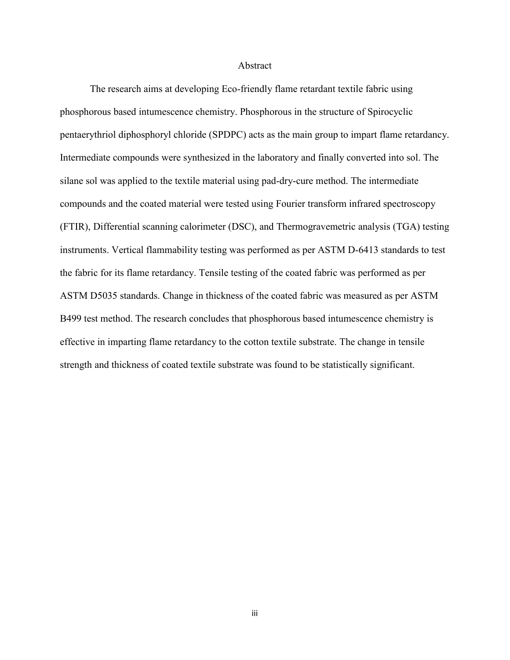#### Abstract

<span id="page-3-0"></span>The research aims at developing Eco-friendly flame retardant textile fabric using phosphorous based intumescence chemistry. Phosphorous in the structure of Spirocyclic pentaerythriol diphosphoryl chloride (SPDPC) acts as the main group to impart flame retardancy. Intermediate compounds were synthesized in the laboratory and finally converted into sol. The silane sol was applied to the textile material using pad-dry-cure method. The intermediate compounds and the coated material were tested using Fourier transform infrared spectroscopy (FTIR), Differential scanning calorimeter (DSC), and Thermogravemetric analysis (TGA) testing instruments. Vertical flammability testing was performed as per ASTM D-6413 standards to test the fabric for its flame retardancy. Tensile testing of the coated fabric was performed as per ASTM D5035 standards. Change in thickness of the coated fabric was measured as per ASTM B499 test method. The research concludes that phosphorous based intumescence chemistry is effective in imparting flame retardancy to the cotton textile substrate. The change in tensile strength and thickness of coated textile substrate was found to be statistically significant.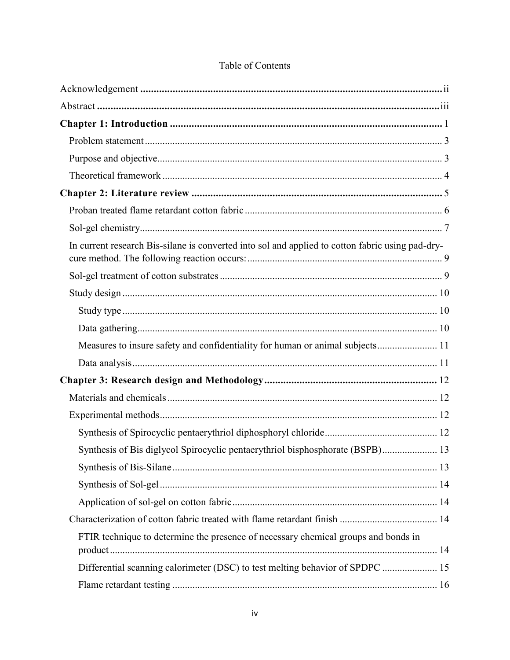| In current research Bis-silane is converted into sol and applied to cotton fabric using pad-dry- |  |
|--------------------------------------------------------------------------------------------------|--|
|                                                                                                  |  |
|                                                                                                  |  |
|                                                                                                  |  |
|                                                                                                  |  |
|                                                                                                  |  |
|                                                                                                  |  |
|                                                                                                  |  |
|                                                                                                  |  |
|                                                                                                  |  |
|                                                                                                  |  |
| Synthesis of Bis diglycol Spirocyclic pentaerythriol bisphosphorate (BSPB) 13                    |  |
|                                                                                                  |  |
|                                                                                                  |  |
|                                                                                                  |  |
|                                                                                                  |  |
| FTIR technique to determine the presence of necessary chemical groups and bonds in               |  |
| Differential scanning calorimeter (DSC) to test melting behavior of SPDPC  15                    |  |
|                                                                                                  |  |

### Table of Contents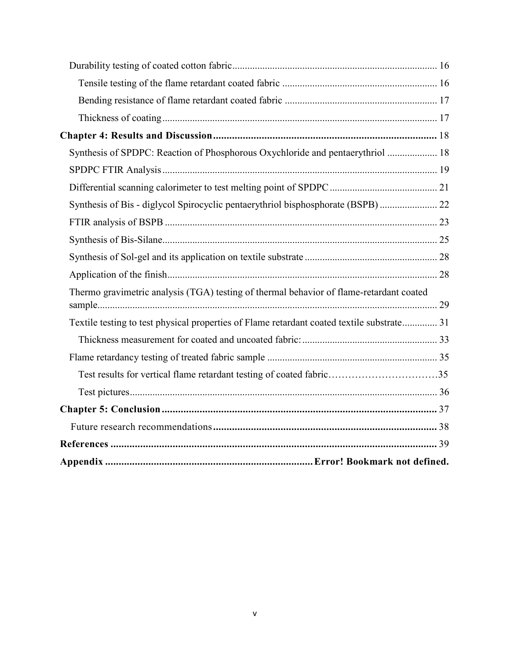| Synthesis of SPDPC: Reaction of Phosphorous Oxychloride and pentaerythriol  18             |  |
|--------------------------------------------------------------------------------------------|--|
|                                                                                            |  |
|                                                                                            |  |
|                                                                                            |  |
|                                                                                            |  |
|                                                                                            |  |
|                                                                                            |  |
|                                                                                            |  |
| Thermo gravimetric analysis (TGA) testing of thermal behavior of flame-retardant coated    |  |
| Textile testing to test physical properties of Flame retardant coated textile substrate 31 |  |
|                                                                                            |  |
|                                                                                            |  |
| Test results for vertical flame retardant testing of coated fabric35                       |  |
|                                                                                            |  |
|                                                                                            |  |
|                                                                                            |  |
|                                                                                            |  |
|                                                                                            |  |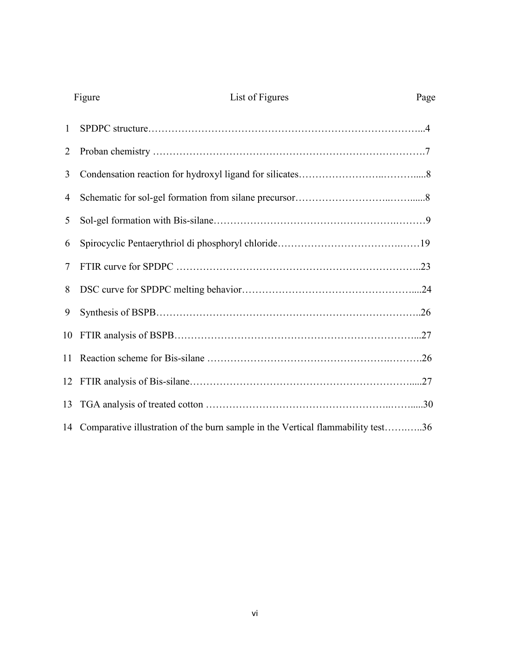|                | List of Figures<br>Figure                                                          | Page |
|----------------|------------------------------------------------------------------------------------|------|
| $\mathbf{1}$   |                                                                                    |      |
| $\overline{2}$ |                                                                                    |      |
| 3              |                                                                                    |      |
| 4              |                                                                                    |      |
| 5              |                                                                                    |      |
| 6              |                                                                                    |      |
| $\tau$         |                                                                                    |      |
| 8              |                                                                                    |      |
| 9              |                                                                                    |      |
|                |                                                                                    |      |
|                |                                                                                    |      |
|                |                                                                                    |      |
|                |                                                                                    |      |
|                | 14 Comparative illustration of the burn sample in the Vertical flammability test36 |      |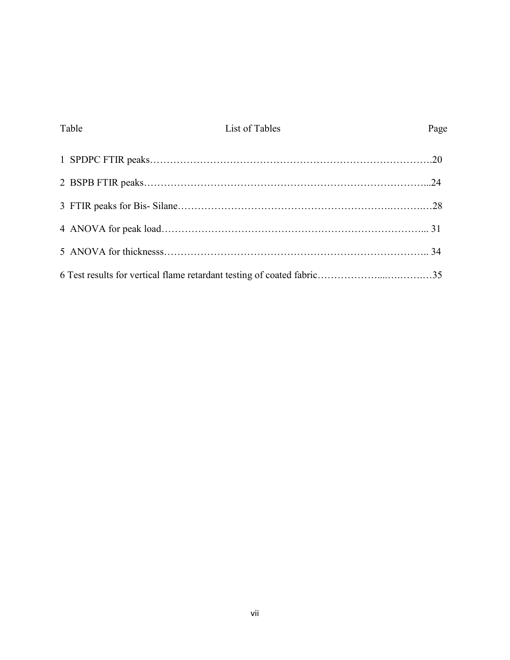<span id="page-7-0"></span>

| Table | List of Tables | Page |
|-------|----------------|------|
|       |                |      |
|       |                |      |
|       |                |      |
|       |                |      |
|       |                |      |
|       |                |      |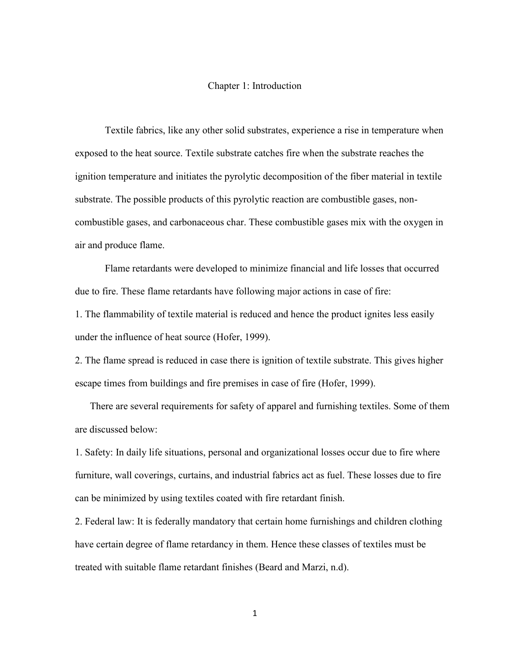#### Chapter 1: Introduction

Textile fabrics, like any other solid substrates, experience a rise in temperature when exposed to the heat source. Textile substrate catches fire when the substrate reaches the ignition temperature and initiates the pyrolytic decomposition of the fiber material in textile substrate. The possible products of this pyrolytic reaction are combustible gases, noncombustible gases, and carbonaceous char. These combustible gases mix with the oxygen in air and produce flame.

 Flame retardants were developed to minimize financial and life losses that occurred due to fire. These flame retardants have following major actions in case of fire:

1. The flammability of textile material is reduced and hence the product ignites less easily under the influence of heat source (Hofer, 1999).

2. The flame spread is reduced in case there is ignition of textile substrate. This gives higher escape times from buildings and fire premises in case of fire (Hofer, 1999).

There are several requirements for safety of apparel and furnishing textiles. Some of them are discussed below:

1. Safety: In daily life situations, personal and organizational losses occur due to fire where furniture, wall coverings, curtains, and industrial fabrics act as fuel. These losses due to fire can be minimized by using textiles coated with fire retardant finish.

2. Federal law: It is federally mandatory that certain home furnishings and children clothing have certain degree of flame retardancy in them. Hence these classes of textiles must be treated with suitable flame retardant finishes (Beard and Marzi, n.d).

1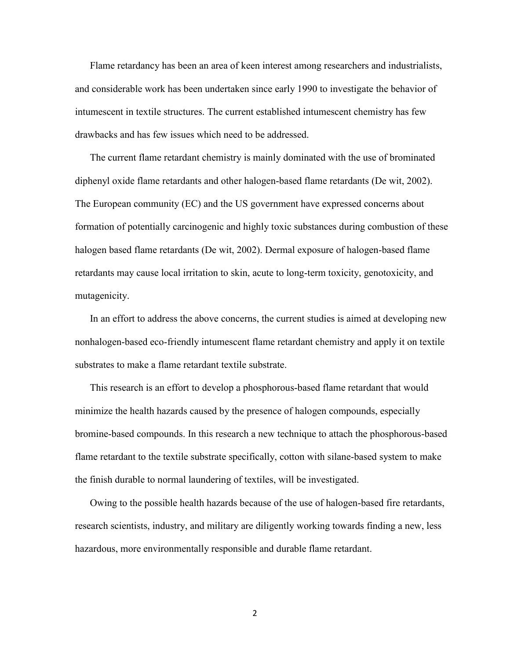Flame retardancy has been an area of keen interest among researchers and industrialists, and considerable work has been undertaken since early 1990 to investigate the behavior of intumescent in textile structures. The current established intumescent chemistry has few drawbacks and has few issues which need to be addressed.

The current flame retardant chemistry is mainly dominated with the use of brominated diphenyl oxide flame retardants and other halogen-based flame retardants (De wit, 2002). The European community (EC) and the US government have expressed concerns about formation of potentially carcinogenic and highly toxic substances during combustion of these halogen based flame retardants (De wit, 2002). Dermal exposure of halogen-based flame retardants may cause local irritation to skin, acute to long-term toxicity, genotoxicity, and mutagenicity.

In an effort to address the above concerns, the current studies is aimed at developing new nonhalogen-based eco-friendly intumescent flame retardant chemistry and apply it on textile substrates to make a flame retardant textile substrate.

This research is an effort to develop a phosphorous-based flame retardant that would minimize the health hazards caused by the presence of halogen compounds, especially bromine-based compounds. In this research a new technique to attach the phosphorous-based flame retardant to the textile substrate specifically, cotton with silane-based system to make the finish durable to normal laundering of textiles, will be investigated.

Owing to the possible health hazards because of the use of halogen-based fire retardants, research scientists, industry, and military are diligently working towards finding a new, less hazardous, more environmentally responsible and durable flame retardant.

2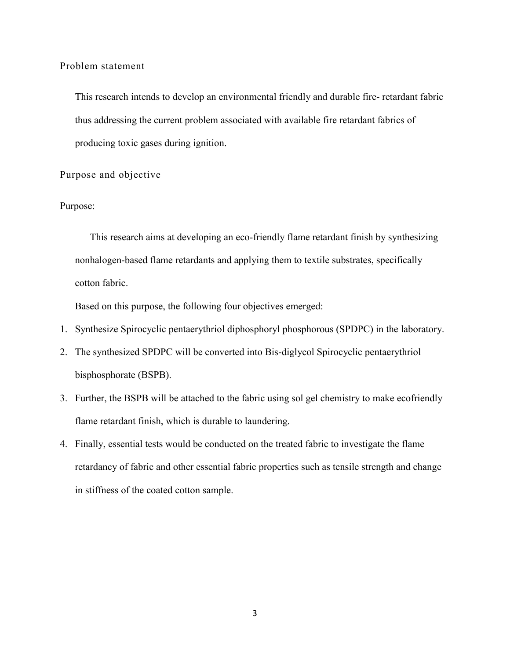<span id="page-10-0"></span>Problem statement

This research intends to develop an environmental friendly and durable fire- retardant fabric thus addressing the current problem associated with available fire retardant fabrics of producing toxic gases during ignition.

<span id="page-10-1"></span>Purpose and objective

#### Purpose:

This research aims at developing an eco-friendly flame retardant finish by synthesizing nonhalogen-based flame retardants and applying them to textile substrates, specifically cotton fabric.

Based on this purpose, the following four objectives emerged:

- 1. Synthesize Spirocyclic pentaerythriol diphosphoryl phosphorous (SPDPC) in the laboratory.
- 2. The synthesized SPDPC will be converted into Bis-diglycol Spirocyclic pentaerythriol bisphosphorate (BSPB).
- 3. Further, the BSPB will be attached to the fabric using sol gel chemistry to make ecofriendly flame retardant finish, which is durable to laundering.
- 4. Finally, essential tests would be conducted on the treated fabric to investigate the flame retardancy of fabric and other essential fabric properties such as tensile strength and change in stiffness of the coated cotton sample.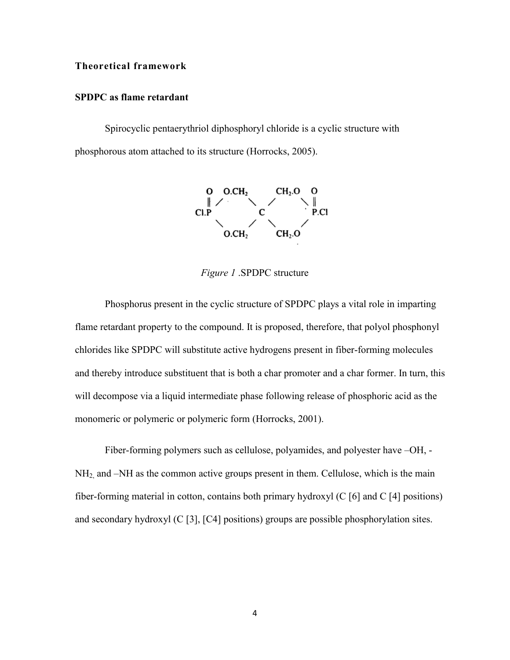#### <span id="page-11-0"></span>**Theoretical framework**

#### **SPDPC as flame retardant**

Spirocyclic pentaerythriol diphosphoryl chloride is a cyclic structure with phosphorous atom attached to its structure (Horrocks, 2005).



*Figure 1* .SPDPC structure

<span id="page-11-1"></span>Phosphorus present in the cyclic structure of SPDPC plays a vital role in imparting flame retardant property to the compound. It is proposed, therefore, that polyol phosphonyl chlorides like SPDPC will substitute active hydrogens present in fiber-forming molecules and thereby introduce substituent that is both a char promoter and a char former. In turn, this will decompose via a liquid intermediate phase following release of phosphoric acid as the monomeric or polymeric or polymeric form (Horrocks, 2001).

Fiber-forming polymers such as cellulose, polyamides, and polyester have –OH, - NH<sub>2</sub>, and –NH as the common active groups present in them. Cellulose, which is the main fiber-forming material in cotton, contains both primary hydroxyl (C [6] and C [4] positions) and secondary hydroxyl (C [3], [C4] positions) groups are possible phosphorylation sites.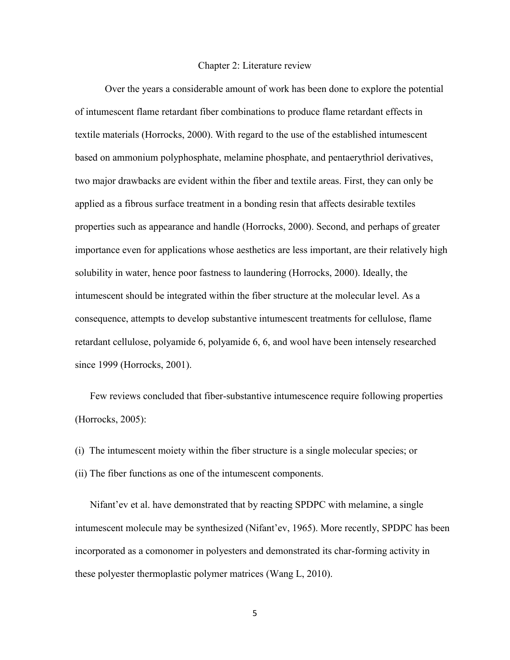#### Chapter 2: Literature review

<span id="page-12-0"></span>Over the years a considerable amount of work has been done to explore the potential of intumescent flame retardant fiber combinations to produce flame retardant effects in textile materials (Horrocks, 2000). With regard to the use of the established intumescent based on ammonium polyphosphate, melamine phosphate, and pentaerythriol derivatives, two major drawbacks are evident within the fiber and textile areas. First, they can only be applied as a fibrous surface treatment in a bonding resin that affects desirable textiles properties such as appearance and handle (Horrocks, 2000). Second, and perhaps of greater importance even for applications whose aesthetics are less important, are their relatively high solubility in water, hence poor fastness to laundering (Horrocks, 2000). Ideally, the intumescent should be integrated within the fiber structure at the molecular level. As a consequence, attempts to develop substantive intumescent treatments for cellulose, flame retardant cellulose, polyamide 6, polyamide 6, 6, and wool have been intensely researched since 1999 (Horrocks, 2001).

Few reviews concluded that fiber-substantive intumescence require following properties (Horrocks, 2005):

(i) The intumescent moiety within the fiber structure is a single molecular species; or (ii) The fiber functions as one of the intumescent components.

Nifant'ev et al. have demonstrated that by reacting SPDPC with melamine, a single intumescent molecule may be synthesized (Nifant'ev, 1965). More recently, SPDPC has been incorporated as a comonomer in polyesters and demonstrated its char-forming activity in these polyester thermoplastic polymer matrices (Wang L, 2010).

5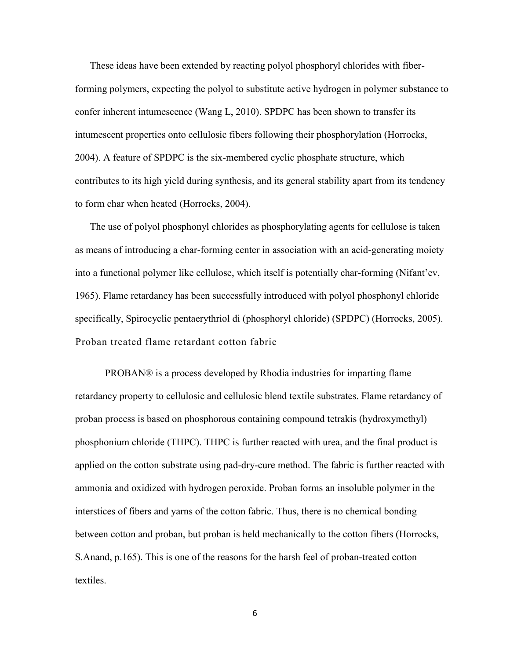These ideas have been extended by reacting polyol phosphoryl chlorides with fiberforming polymers, expecting the polyol to substitute active hydrogen in polymer substance to confer inherent intumescence (Wang L, 2010). SPDPC has been shown to transfer its intumescent properties onto cellulosic fibers following their phosphorylation (Horrocks, 2004). A feature of SPDPC is the six-membered cyclic phosphate structure, which contributes to its high yield during synthesis, and its general stability apart from its tendency to form char when heated (Horrocks, 2004).

The use of polyol phosphonyl chlorides as phosphorylating agents for cellulose is taken as means of introducing a char-forming center in association with an acid-generating moiety into a functional polymer like cellulose, which itself is potentially char-forming (Nifant'ev, 1965). Flame retardancy has been successfully introduced with polyol phosphonyl chloride specifically, Spirocyclic pentaerythriol di (phosphoryl chloride) (SPDPC) (Horrocks, 2005). Proban treated flame retardant cotton fabric

<span id="page-13-0"></span>PROBAN® is a process developed by Rhodia industries for imparting flame retardancy property to cellulosic and cellulosic blend textile substrates. Flame retardancy of proban process is based on phosphorous containing compound tetrakis (hydroxymethyl) phosphonium chloride (THPC). THPC is further reacted with urea, and the final product is applied on the cotton substrate using pad-dry-cure method. The fabric is further reacted with ammonia and oxidized with hydrogen peroxide. Proban forms an insoluble polymer in the interstices of fibers and yarns of the cotton fabric. Thus, there is no chemical bonding between cotton and proban, but proban is held mechanically to the cotton fibers (Horrocks, S.Anand, p.165). This is one of the reasons for the harsh feel of proban-treated cotton textiles.

6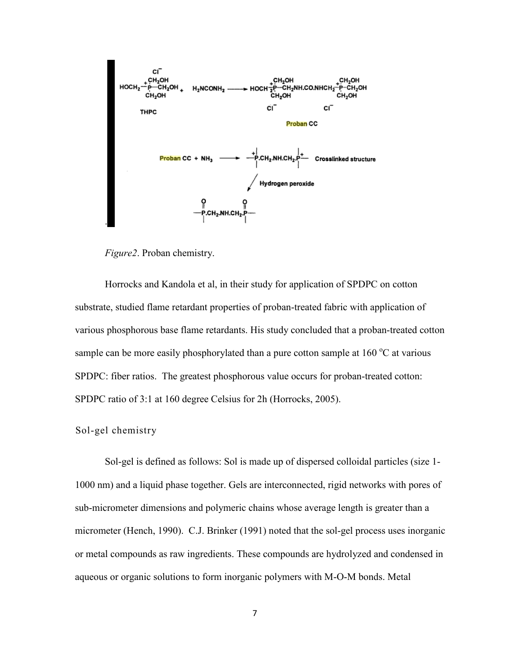

 *Figure2*. Proban chemistry.

Horrocks and Kandola et al, in their study for application of SPDPC on cotton substrate, studied flame retardant properties of proban-treated fabric with application of various phosphorous base flame retardants. His study concluded that a proban-treated cotton sample can be more easily phosphorylated than a pure cotton sample at  $160\degree C$  at various SPDPC: fiber ratios. The greatest phosphorous value occurs for proban-treated cotton: SPDPC ratio of 3:1 at 160 degree Celsius for 2h (Horrocks, 2005).

<span id="page-14-0"></span>Sol-gel chemistry

Sol-gel is defined as follows: Sol is made up of dispersed colloidal particles (size 1- 1000 nm) and a liquid phase together. Gels are interconnected, rigid networks with pores of sub-micrometer dimensions and polymeric chains whose average length is greater than a micrometer (Hench, 1990). C.J. Brinker (1991) noted that the sol-gel process uses inorganic or metal compounds as raw ingredients. These compounds are hydrolyzed and condensed in aqueous or organic solutions to form inorganic polymers with M-O-M bonds. Metal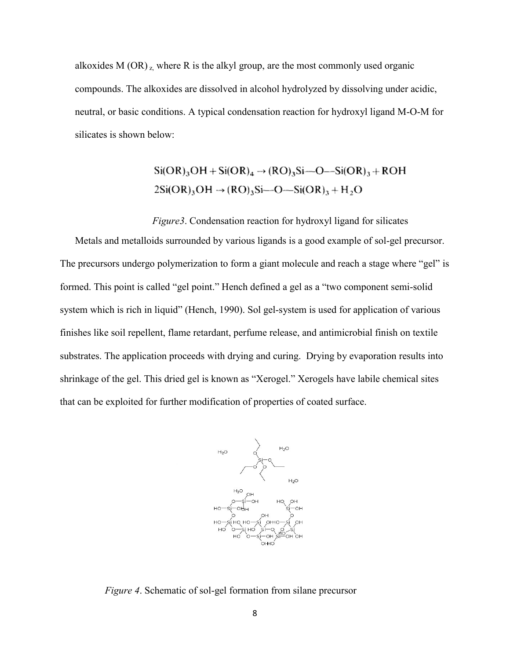alkoxides M  $(OR)$ <sub>z</sub>, where R is the alkyl group, are the most commonly used organic compounds. The alkoxides are dissolved in alcohol hydrolyzed by dissolving under acidic, neutral, or basic conditions. A typical condensation reaction for hydroxyl ligand M-O-M for silicates is shown below:

> $Si(OR)_{3}OH + Si(OR)_{4} \rightarrow (RO)_{3}Si-O-Si(OR)_{3} + ROH$  $2Si(OR)_3OH \rightarrow (RO)_3Si-O-Si(OR)_3 + H_2O$

 *Figure3*. Condensation reaction for hydroxyl ligand for silicates

Metals and metalloids surrounded by various ligands is a good example of sol-gel precursor. The precursors undergo polymerization to form a giant molecule and reach a stage where "gel" is formed. This point is called "gel point." Hench defined a gel as a "two component semi-solid system which is rich in liquid" (Hench, 1990). Sol gel-system is used for application of various finishes like soil repellent, flame retardant, perfume release, and antimicrobial finish on textile substrates. The application proceeds with drying and curing. Drying by evaporation results into shrinkage of the gel. This dried gel is known as "Xerogel." Xerogels have labile chemical sites that can be exploited for further modification of properties of coated surface.



<span id="page-15-0"></span>*Figure 4*. Schematic of sol-gel formation from silane precursor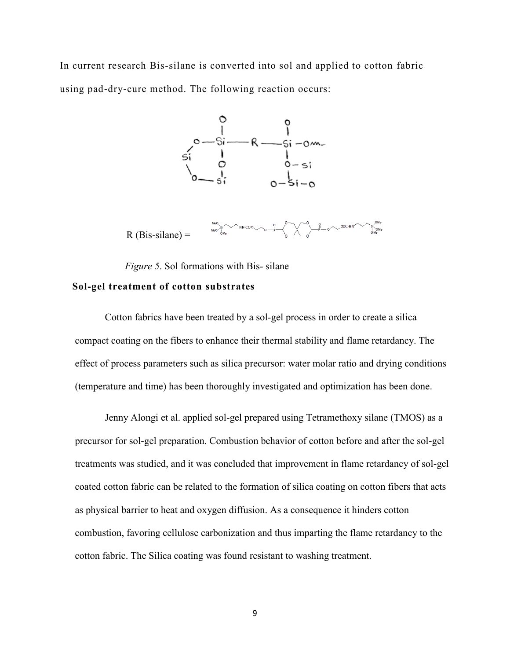<span id="page-16-0"></span>In current research Bis-silane is converted into sol and applied to cotton fabric using pad-dry-cure method. The following reaction occurs:



 *Figure 5*. Sol formations with Bis- silane

#### <span id="page-16-1"></span>**Sol-gel treatment of cotton substrates**

Cotton fabrics have been treated by a sol-gel process in order to create a silica compact coating on the fibers to enhance their thermal stability and flame retardancy. The effect of process parameters such as silica precursor: water molar ratio and drying conditions (temperature and time) has been thoroughly investigated and optimization has been done.

Jenny Alongi et al. applied sol-gel prepared using Tetramethoxy silane (TMOS) as a precursor for sol-gel preparation. Combustion behavior of cotton before and after the sol-gel treatments was studied, and it was concluded that improvement in flame retardancy of sol-gel coated cotton fabric can be related to the formation of silica coating on cotton fibers that acts as physical barrier to heat and oxygen diffusion. As a consequence it hinders cotton combustion, favoring cellulose carbonization and thus imparting the flame retardancy to the cotton fabric. The Silica coating was found resistant to washing treatment.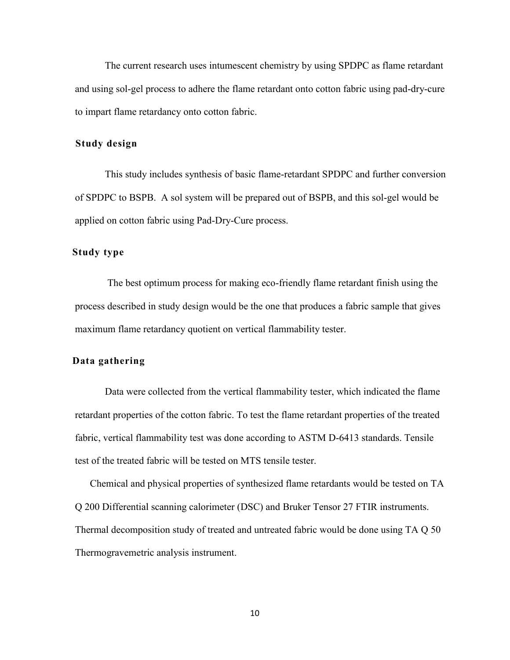The current research uses intumescent chemistry by using SPDPC as flame retardant and using sol-gel process to adhere the flame retardant onto cotton fabric using pad-dry-cure to impart flame retardancy onto cotton fabric.

#### <span id="page-17-0"></span>**Study design**

This study includes synthesis of basic flame-retardant SPDPC and further conversion of SPDPC to BSPB. A sol system will be prepared out of BSPB, and this sol-gel would be applied on cotton fabric using Pad-Dry-Cure process.

#### <span id="page-17-1"></span>**Study type**

The best optimum process for making eco-friendly flame retardant finish using the process described in study design would be the one that produces a fabric sample that gives maximum flame retardancy quotient on vertical flammability tester.

#### <span id="page-17-2"></span>**Data gathering**

Data were collected from the vertical flammability tester, which indicated the flame retardant properties of the cotton fabric. To test the flame retardant properties of the treated fabric, vertical flammability test was done according to ASTM D-6413 standards. Tensile test of the treated fabric will be tested on MTS tensile tester.

<span id="page-17-3"></span>Chemical and physical properties of synthesized flame retardants would be tested on TA Q 200 Differential scanning calorimeter (DSC) and Bruker Tensor 27 FTIR instruments. Thermal decomposition study of treated and untreated fabric would be done using TA Q 50 Thermogravemetric analysis instrument.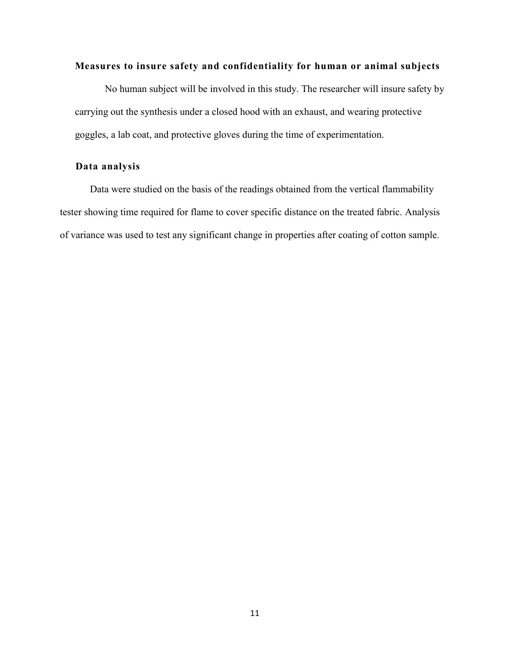#### **Measures to insure safety and confidentiality for human or animal subjects**

No human subject will be involved in this study. The researcher will insure safety by carrying out the synthesis under a closed hood with an exhaust, and wearing protective goggles, a lab coat, and protective gloves during the time of experimentation.

#### <span id="page-18-0"></span>**Data analysis**

 Data were studied on the basis of the readings obtained from the vertical flammability tester showing time required for flame to cover specific distance on the treated fabric. Analysis of variance was used to test any significant change in properties after coating of cotton sample.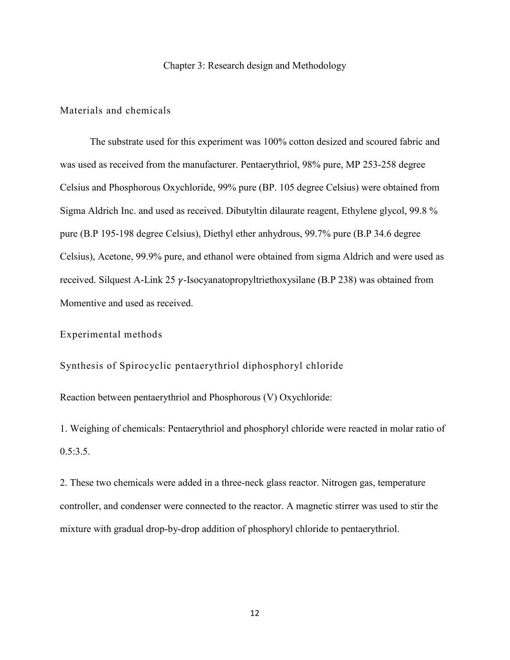#### Chapter 3: Research design and Methodology

#### <span id="page-19-1"></span><span id="page-19-0"></span>Materials and chemicals

The substrate used for this experiment was 100% cotton desized and scoured fabric and was used as received from the manufacturer. Pentaerythriol, 98% pure, MP 253-258 degree Celsius and Phosphorous Oxychloride, 99% pure (BP. 105 degree Celsius) were obtained from Sigma Aldrich Inc. and used as received. Dibutyltin dilaurate reagent, Ethylene glycol, 99.8 % pure (B.P 195-198 degree Celsius), Diethyl ether anhydrous, 99.7% pure (B.P 34.6 degree Celsius), Acetone, 99.9% pure, and ethanol were obtained from sigma Aldrich and were used as received. Silquest A-Link 25  $\gamma$ -Isocyanatopropyltriethoxysilane (B.P 238) was obtained from Momentive and used as received.

#### <span id="page-19-2"></span>Experimental methods

<span id="page-19-3"></span>Synthesis of Spirocyclic pentaerythriol diphosphoryl chloride

Reaction between pentaerythriol and Phosphorous (V) Oxychloride:

1. Weighing of chemicals: Pentaerythriol and phosphoryl chloride were reacted in molar ratio of  $0.5:3.5.$ 

2. These two chemicals were added in a three-neck glass reactor. Nitrogen gas, temperature controller, and condenser were connected to the reactor. A magnetic stirrer was used to stir the mixture with gradual drop-by-drop addition of phosphoryl chloride to pentaerythriol.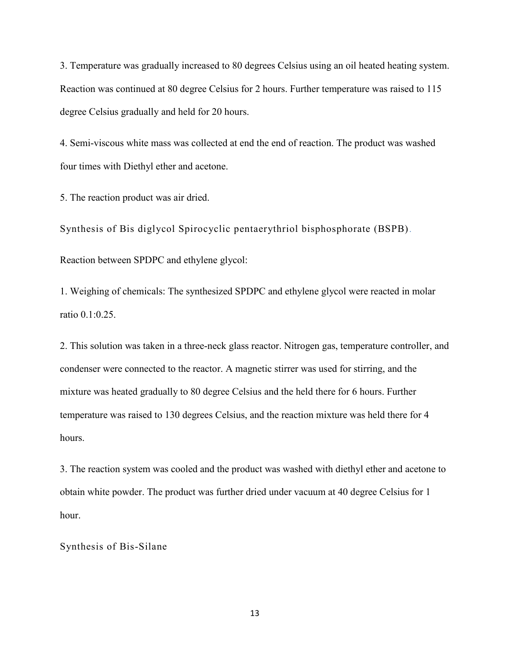3. Temperature was gradually increased to 80 degrees Celsius using an oil heated heating system. Reaction was continued at 80 degree Celsius for 2 hours. Further temperature was raised to 115 degree Celsius gradually and held for 20 hours.

4. Semi-viscous white mass was collected at end the end of reaction. The product was washed four times with Diethyl ether and acetone.

5. The reaction product was air dried.

<span id="page-20-0"></span>Synthesis of Bis diglycol Spirocyclic pentaerythriol bisphosphorate (BSPB)*.* Reaction between SPDPC and ethylene glycol:

1. Weighing of chemicals: The synthesized SPDPC and ethylene glycol were reacted in molar ratio 0.1:0.25.

2. This solution was taken in a three-neck glass reactor. Nitrogen gas, temperature controller, and condenser were connected to the reactor. A magnetic stirrer was used for stirring, and the mixture was heated gradually to 80 degree Celsius and the held there for 6 hours. Further temperature was raised to 130 degrees Celsius, and the reaction mixture was held there for 4 hours.

3. The reaction system was cooled and the product was washed with diethyl ether and acetone to obtain white powder. The product was further dried under vacuum at 40 degree Celsius for 1 hour.

<span id="page-20-1"></span>Synthesis of Bis-Silane

13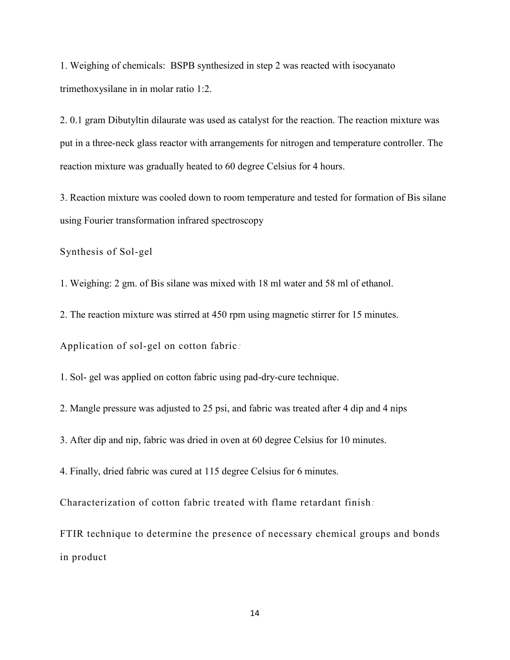1. Weighing of chemicals: BSPB synthesized in step 2 was reacted with isocyanato trimethoxysilane in in molar ratio 1:2.

2. 0.1 gram Dibutyltin dilaurate was used as catalyst for the reaction. The reaction mixture was put in a three-neck glass reactor with arrangements for nitrogen and temperature controller. The reaction mixture was gradually heated to 60 degree Celsius for 4 hours.

3. Reaction mixture was cooled down to room temperature and tested for formation of Bis silane using Fourier transformation infrared spectroscopy

<span id="page-21-0"></span>Synthesis of Sol-gel

1. Weighing: 2 gm. of Bis silane was mixed with 18 ml water and 58 ml of ethanol.

2. The reaction mixture was stirred at 450 rpm using magnetic stirrer for 15 minutes.

<span id="page-21-1"></span>Application of sol-gel on cotton fabric*:*

1. Sol- gel was applied on cotton fabric using pad-dry-cure technique.

2. Mangle pressure was adjusted to 25 psi, and fabric was treated after 4 dip and 4 nips

3. After dip and nip, fabric was dried in oven at 60 degree Celsius for 10 minutes.

4. Finally, dried fabric was cured at 115 degree Celsius for 6 minutes.

<span id="page-21-2"></span>Characterization of cotton fabric treated with flame retardant finish*:*

<span id="page-21-3"></span>FTIR technique to determine the presence of necessary chemical groups and bonds in product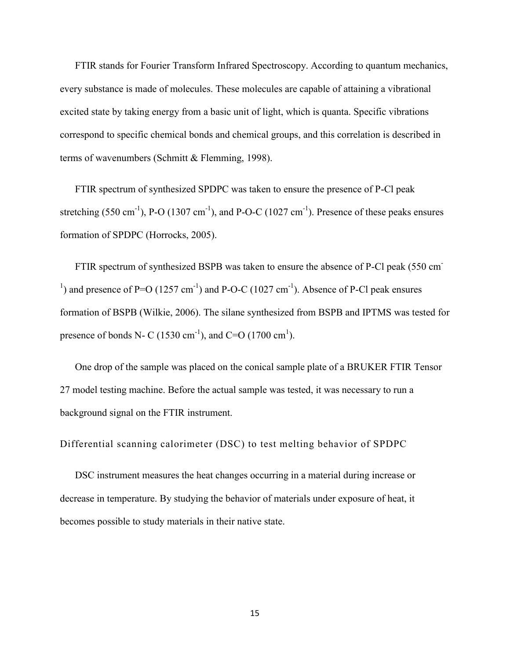FTIR stands for Fourier Transform Infrared Spectroscopy. According to quantum mechanics, every substance is made of molecules. These molecules are capable of attaining a vibrational excited state by taking energy from a basic unit of light, which is quanta. Specific vibrations correspond to specific chemical bonds and chemical groups, and this correlation is described in terms of wavenumbers (Schmitt & Flemming, 1998).

FTIR spectrum of synthesized SPDPC was taken to ensure the presence of P-Cl peak stretching (550 cm<sup>-1</sup>), P-O (1307 cm<sup>-1</sup>), and P-O-C (1027 cm<sup>-1</sup>). Presence of these peaks ensures formation of SPDPC (Horrocks, 2005).

FTIR spectrum of synthesized BSPB was taken to ensure the absence of P-Cl peak (550 cm-<sup>1</sup>) and presence of P=O (1257 cm<sup>-1</sup>) and P-O-C (1027 cm<sup>-1</sup>). Absence of P-Cl peak ensures formation of BSPB (Wilkie, 2006). The silane synthesized from BSPB and IPTMS was tested for presence of bonds N- C (1530 cm<sup>-1</sup>), and C=O (1700 cm<sup>1</sup>).

One drop of the sample was placed on the conical sample plate of a BRUKER FTIR Tensor 27 model testing machine. Before the actual sample was tested, it was necessary to run a background signal on the FTIR instrument.

<span id="page-22-0"></span>Differential scanning calorimeter (DSC) to test melting behavior of SPDPC

DSC instrument measures the heat changes occurring in a material during increase or decrease in temperature. By studying the behavior of materials under exposure of heat, it becomes possible to study materials in their native state.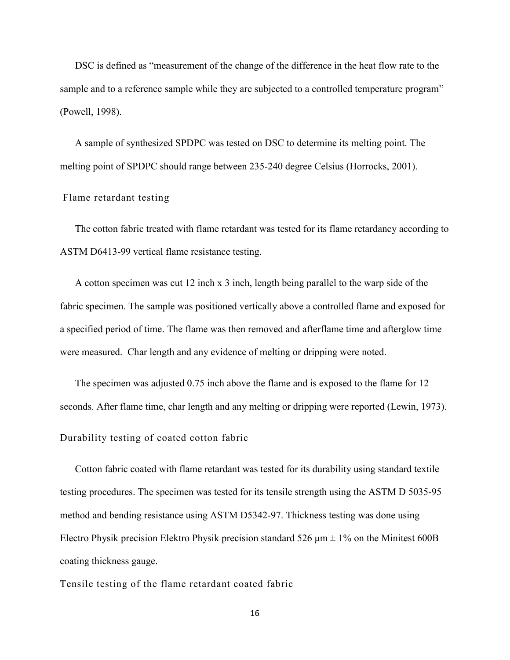DSC is defined as "measurement of the change of the difference in the heat flow rate to the sample and to a reference sample while they are subjected to a controlled temperature program" (Powell, 1998).

A sample of synthesized SPDPC was tested on DSC to determine its melting point. The melting point of SPDPC should range between 235-240 degree Celsius (Horrocks, 2001).

#### <span id="page-23-0"></span>Flame retardant testing

The cotton fabric treated with flame retardant was tested for its flame retardancy according to ASTM D6413-99 vertical flame resistance testing.

A cotton specimen was cut 12 inch x 3 inch, length being parallel to the warp side of the fabric specimen. The sample was positioned vertically above a controlled flame and exposed for a specified period of time. The flame was then removed and afterflame time and afterglow time were measured. Char length and any evidence of melting or dripping were noted.

The specimen was adjusted 0.75 inch above the flame and is exposed to the flame for 12 seconds. After flame time, char length and any melting or dripping were reported (Lewin, 1973).

<span id="page-23-1"></span>Durability testing of coated cotton fabric

Cotton fabric coated with flame retardant was tested for its durability using standard textile testing procedures. The specimen was tested for its tensile strength using the ASTM D 5035-95 method and bending resistance using ASTM D5342-97. Thickness testing was done using Electro Physik precision Elektro Physik precision standard 526  $\mu$ m  $\pm$  1% on the Minitest 600B coating thickness gauge.

<span id="page-23-2"></span>Tensile testing of the flame retardant coated fabric

16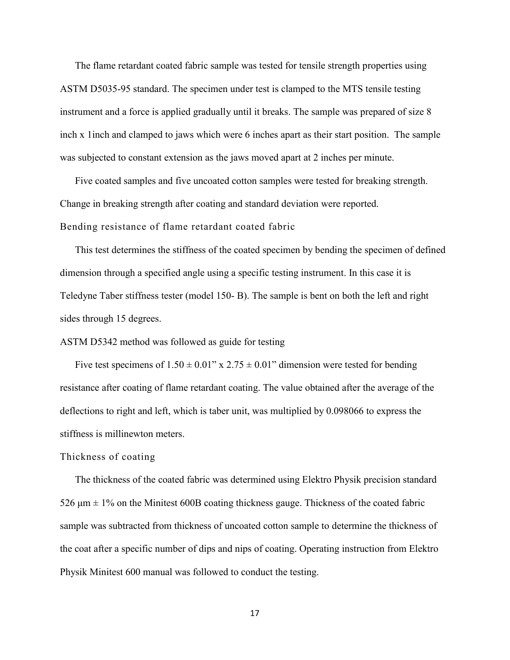The flame retardant coated fabric sample was tested for tensile strength properties using ASTM D5035-95 standard. The specimen under test is clamped to the MTS tensile testing instrument and a force is applied gradually until it breaks. The sample was prepared of size 8 inch x 1inch and clamped to jaws which were 6 inches apart as their start position. The sample was subjected to constant extension as the jaws moved apart at 2 inches per minute.

Five coated samples and five uncoated cotton samples were tested for breaking strength. Change in breaking strength after coating and standard deviation were reported. Bending resistance of flame retardant coated fabric

<span id="page-24-0"></span>This test determines the stiffness of the coated specimen by bending the specimen of defined dimension through a specified angle using a specific testing instrument. In this case it is Teledyne Taber stiffness tester (model 150- B). The sample is bent on both the left and right sides through 15 degrees.

ASTM D5342 method was followed as guide for testing

Five test specimens of  $1.50 \pm 0.01$ " x  $2.75 \pm 0.01$ " dimension were tested for bending resistance after coating of flame retardant coating. The value obtained after the average of the deflections to right and left, which is taber unit, was multiplied by 0.098066 to express the stiffness is millinewton meters.

#### <span id="page-24-1"></span>Thickness of coating

The thickness of the coated fabric was determined using Elektro Physik precision standard 526  $\mu$ m  $\pm$  1% on the Minitest 600B coating thickness gauge. Thickness of the coated fabric sample was subtracted from thickness of uncoated cotton sample to determine the thickness of the coat after a specific number of dips and nips of coating. Operating instruction from Elektro Physik Minitest 600 manual was followed to conduct the testing.

17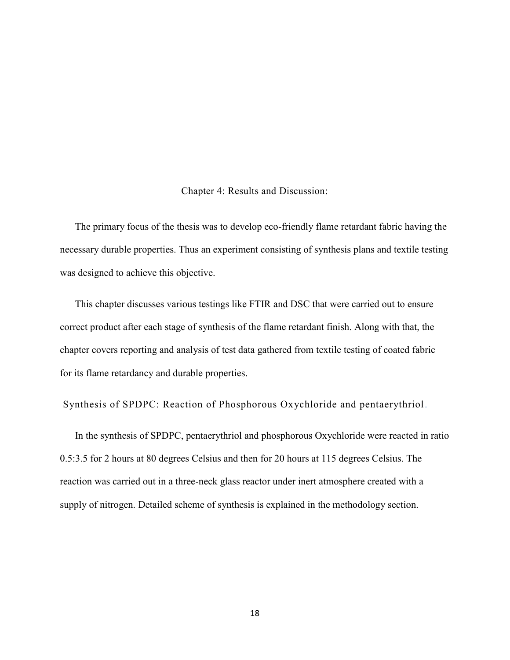Chapter 4: Results and Discussion:

<span id="page-25-0"></span>The primary focus of the thesis was to develop eco-friendly flame retardant fabric having the necessary durable properties. Thus an experiment consisting of synthesis plans and textile testing was designed to achieve this objective.

This chapter discusses various testings like FTIR and DSC that were carried out to ensure correct product after each stage of synthesis of the flame retardant finish. Along with that, the chapter covers reporting and analysis of test data gathered from textile testing of coated fabric for its flame retardancy and durable properties.

<span id="page-25-1"></span>Synthesis of SPDPC: Reaction of Phosphorous Oxychloride and pentaerythriol *.*

In the synthesis of SPDPC, pentaerythriol and phosphorous Oxychloride were reacted in ratio 0.5:3.5 for 2 hours at 80 degrees Celsius and then for 20 hours at 115 degrees Celsius. The reaction was carried out in a three-neck glass reactor under inert atmosphere created with a supply of nitrogen. Detailed scheme of synthesis is explained in the methodology section.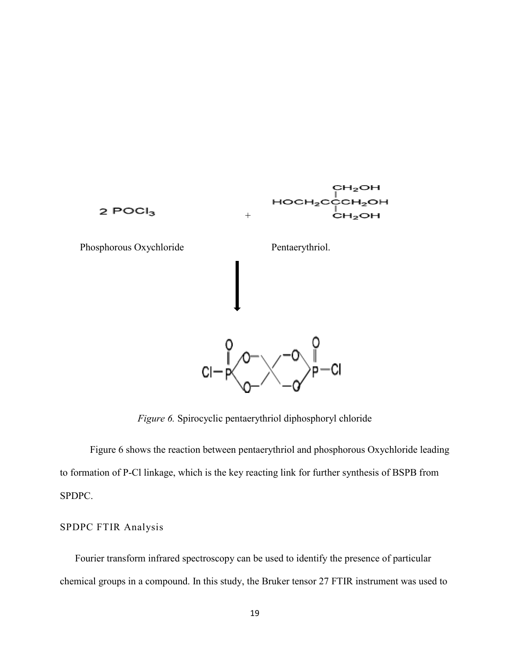

*Figure 6.* Spirocyclic pentaerythriol diphosphoryl chloride

<span id="page-26-1"></span>Figure 6 shows the reaction between pentaerythriol and phosphorous Oxychloride leading to formation of P-Cl linkage, which is the key reacting link for further synthesis of BSPB from SPDPC.

#### <span id="page-26-0"></span>SPDPC FTIR Analysis

Fourier transform infrared spectroscopy can be used to identify the presence of particular chemical groups in a compound. In this study, the Bruker tensor 27 FTIR instrument was used to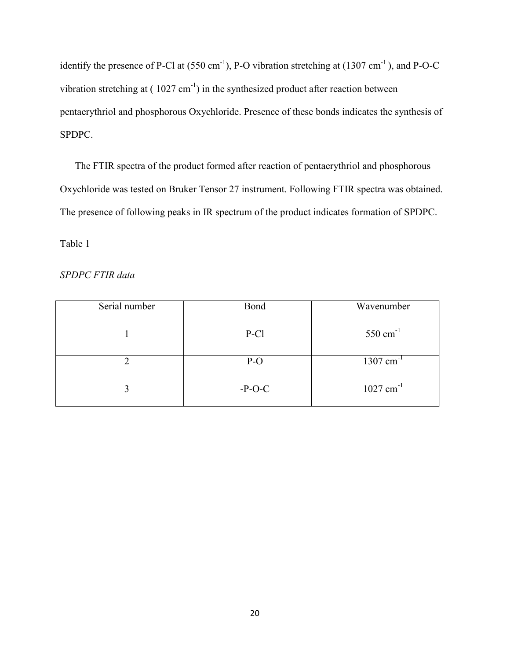identify the presence of P-Cl at  $(550 \text{ cm}^{-1})$ , P-O vibration stretching at  $(1307 \text{ cm}^{-1})$ , and P-O-C vibration stretching at  $(1027 \text{ cm}^{-1})$  in the synthesized product after reaction between pentaerythriol and phosphorous Oxychloride. Presence of these bonds indicates the synthesis of SPDPC.

The FTIR spectra of the product formed after reaction of pentaerythriol and phosphorous Oxychloride was tested on Bruker Tensor 27 instrument. Following FTIR spectra was obtained. The presence of following peaks in IR spectrum of the product indicates formation of SPDPC.

<span id="page-27-0"></span>Table 1

*SPDPC FTIR data*

| Serial number | Bond     | Wavenumber              |
|---------------|----------|-------------------------|
|               | P-Cl     | $550 \text{ cm}^{-1}$   |
|               | $P-O$    | $1307$ cm <sup>-1</sup> |
|               | $-P-O-C$ | $1027$ cm <sup>-1</sup> |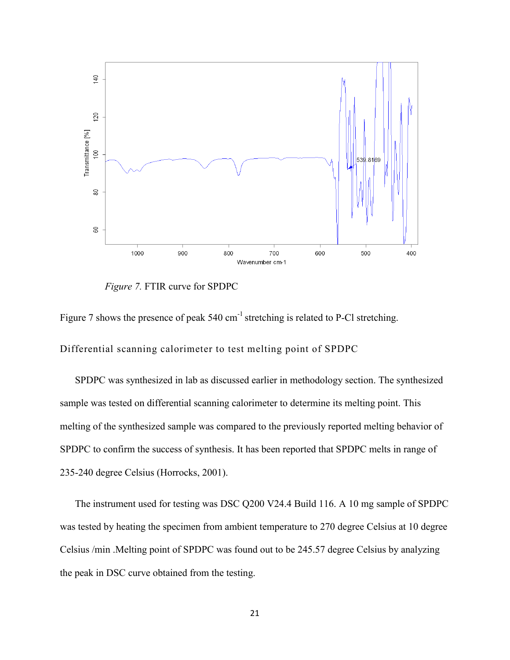<span id="page-28-1"></span>

 *Figure 7.* FTIR curve for SPDPC

Figure 7 shows the presence of peak 540 cm<sup>-1</sup> stretching is related to P-Cl stretching.

<span id="page-28-0"></span>Differential scanning calorimeter to test melting point of SPDPC

SPDPC was synthesized in lab as discussed earlier in methodology section. The synthesized sample was tested on differential scanning calorimeter to determine its melting point. This melting of the synthesized sample was compared to the previously reported melting behavior of SPDPC to confirm the success of synthesis. It has been reported that SPDPC melts in range of 235-240 degree Celsius (Horrocks, 2001).

The instrument used for testing was DSC Q200 V24.4 Build 116. A 10 mg sample of SPDPC was tested by heating the specimen from ambient temperature to 270 degree Celsius at 10 degree Celsius /min .Melting point of SPDPC was found out to be 245.57 degree Celsius by analyzing the peak in DSC curve obtained from the testing.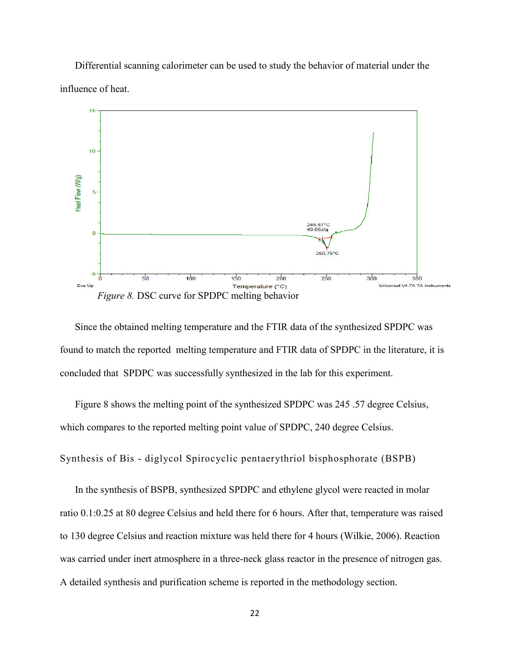Differential scanning calorimeter can be used to study the behavior of material under the influence of heat.



<span id="page-29-1"></span>Since the obtained melting temperature and the FTIR data of the synthesized SPDPC was found to match the reported melting temperature and FTIR data of SPDPC in the literature, it is concluded that SPDPC was successfully synthesized in the lab for this experiment.

Figure 8 shows the melting point of the synthesized SPDPC was 245 .57 degree Celsius, which compares to the reported melting point value of SPDPC, 240 degree Celsius.

<span id="page-29-0"></span>Synthesis of Bis - diglycol Spirocyclic pentaerythriol bisphosphorate (BSPB)

In the synthesis of BSPB, synthesized SPDPC and ethylene glycol were reacted in molar ratio 0.1:0.25 at 80 degree Celsius and held there for 6 hours. After that, temperature was raised to 130 degree Celsius and reaction mixture was held there for 4 hours (Wilkie, 2006). Reaction was carried under inert atmosphere in a three-neck glass reactor in the presence of nitrogen gas. A detailed synthesis and purification scheme is reported in the methodology section.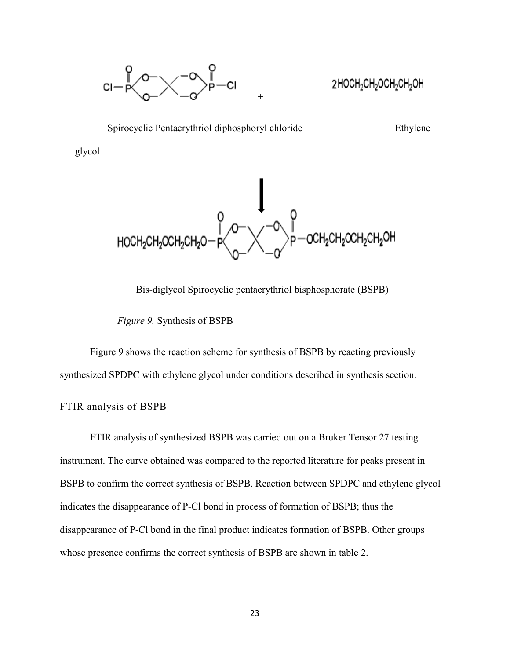

<span id="page-30-1"></span>2HOCH<sub>2</sub>CH<sub>2</sub>OCH<sub>2</sub>CH<sub>2</sub>OH





Bis-diglycol Spirocyclic pentaerythriol bisphosphorate (BSPB)

*Figure 9.* Synthesis of BSPB

Figure 9 shows the reaction scheme for synthesis of BSPB by reacting previously synthesized SPDPC with ethylene glycol under conditions described in synthesis section.

#### <span id="page-30-0"></span>FTIR analysis of BSPB

<span id="page-30-2"></span>FTIR analysis of synthesized BSPB was carried out on a Bruker Tensor 27 testing instrument. The curve obtained was compared to the reported literature for peaks present in BSPB to confirm the correct synthesis of BSPB. Reaction between SPDPC and ethylene glycol indicates the disappearance of P-Cl bond in process of formation of BSPB; thus the disappearance of P-Cl bond in the final product indicates formation of BSPB. Other groups whose presence confirms the correct synthesis of BSPB are shown in table 2.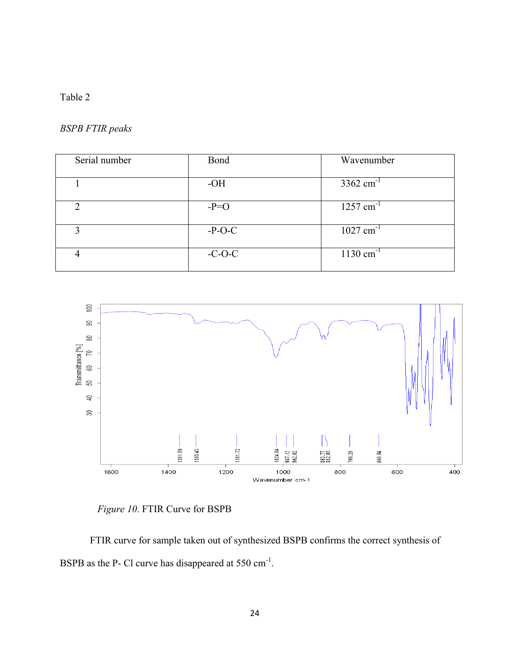### Table 2

#### *BSPB FTIR peaks*

| Serial number | Bond     | Wavenumber              |
|---------------|----------|-------------------------|
|               | $-OH$    | $3362$ cm <sup>-1</sup> |
| ∍             | $-P=O$   | $1257$ cm <sup>-1</sup> |
|               | $-P-O-C$ | $1027$ cm <sup>-1</sup> |
|               | $-C-O-C$ | $1130 \text{ cm}^{-1}$  |



 *Figure 10*. FTIR Curve for BSPB

<span id="page-31-0"></span>FTIR curve for sample taken out of synthesized BSPB confirms the correct synthesis of BSPB as the P- Cl curve has disappeared at  $550 \text{ cm}^{-1}$ .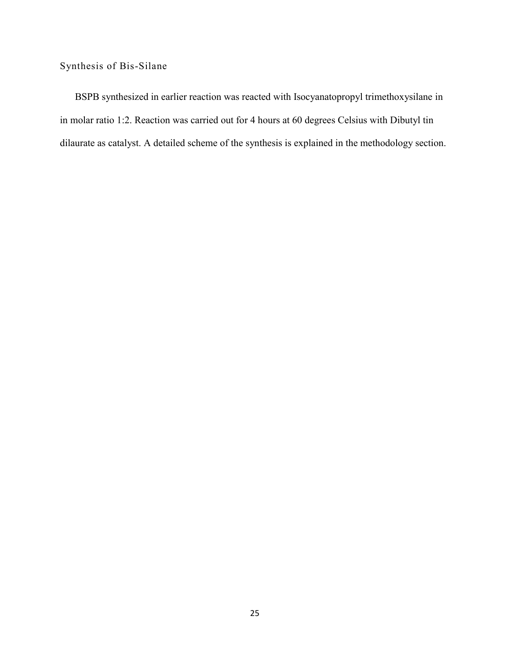### <span id="page-32-0"></span>Synthesis of Bis-Silane

BSPB synthesized in earlier reaction was reacted with Isocyanatopropyl trimethoxysilane in in molar ratio 1:2. Reaction was carried out for 4 hours at 60 degrees Celsius with Dibutyl tin dilaurate as catalyst. A detailed scheme of the synthesis is explained in the methodology section.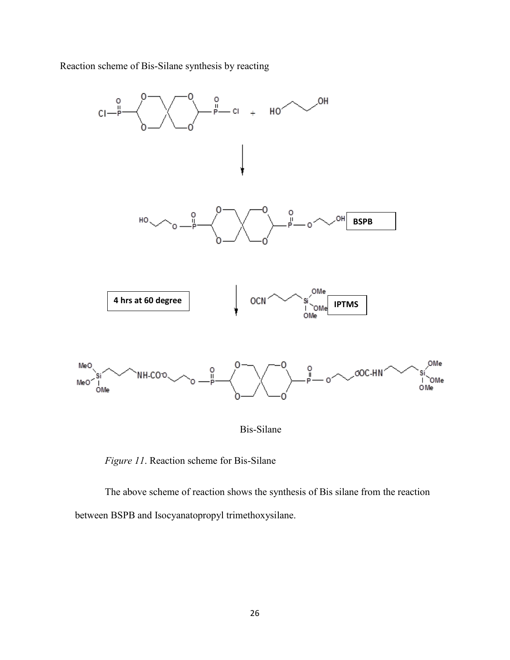Reaction scheme of Bis-Silane synthesis by reacting



 *Figure 11*. Reaction scheme for Bis-Silane

<span id="page-33-0"></span>The above scheme of reaction shows the synthesis of Bis silane from the reaction between BSPB and Isocyanatopropyl trimethoxysilane.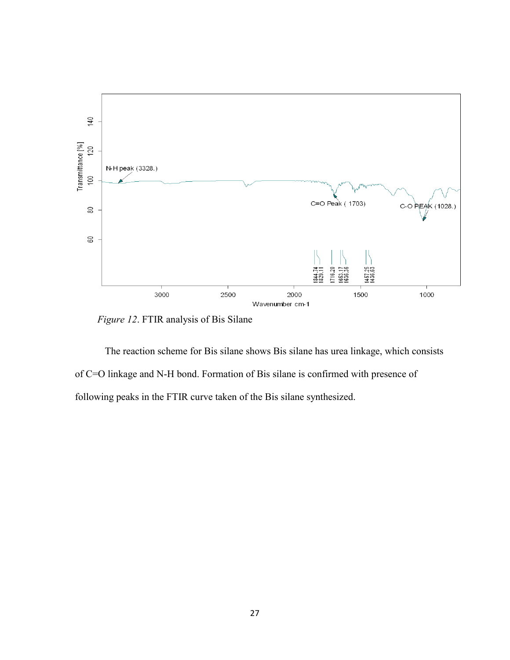

 *Figure 12*. FTIR analysis of Bis Silane

<span id="page-34-0"></span>The reaction scheme for Bis silane shows Bis silane has urea linkage, which consists of C=O linkage and N-H bond. Formation of Bis silane is confirmed with presence of following peaks in the FTIR curve taken of the Bis silane synthesized.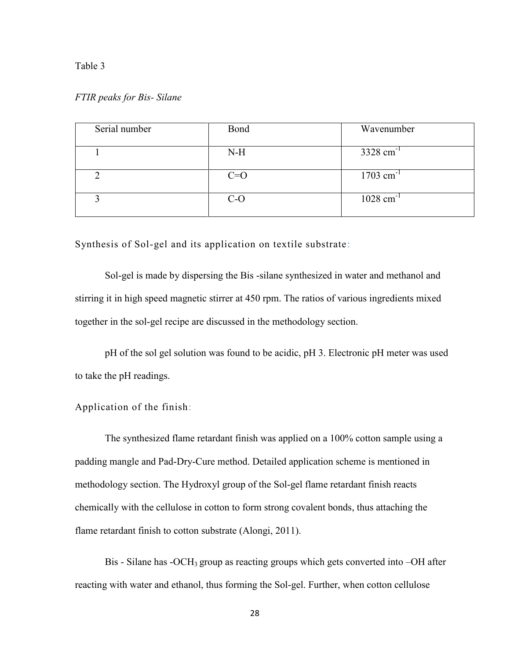#### <span id="page-35-2"></span>Table 3

#### *FTIR peaks for Bis- Silane*

| Serial number | Bond  | Wavenumber              |
|---------------|-------|-------------------------|
|               | $N-H$ | $3328$ cm <sup>-1</sup> |
|               | $C=O$ | $1703$ cm <sup>-1</sup> |
|               | $C-O$ | $1028$ cm <sup>-1</sup> |

<span id="page-35-0"></span>Synthesis of Sol-gel and its application on textile substrate:

Sol-gel is made by dispersing the Bis -silane synthesized in water and methanol and stirring it in high speed magnetic stirrer at 450 rpm. The ratios of various ingredients mixed together in the sol-gel recipe are discussed in the methodology section.

pH of the sol gel solution was found to be acidic, pH 3. Electronic pH meter was used to take the pH readings.

#### <span id="page-35-1"></span>Application of the finish:

The synthesized flame retardant finish was applied on a 100% cotton sample using a padding mangle and Pad-Dry-Cure method. Detailed application scheme is mentioned in methodology section. The Hydroxyl group of the Sol-gel flame retardant finish reacts chemically with the cellulose in cotton to form strong covalent bonds, thus attaching the flame retardant finish to cotton substrate (Alongi, 2011).

Bis - Silane has -OCH<sub>3</sub> group as reacting groups which gets converted into -OH after reacting with water and ethanol, thus forming the Sol-gel. Further, when cotton cellulose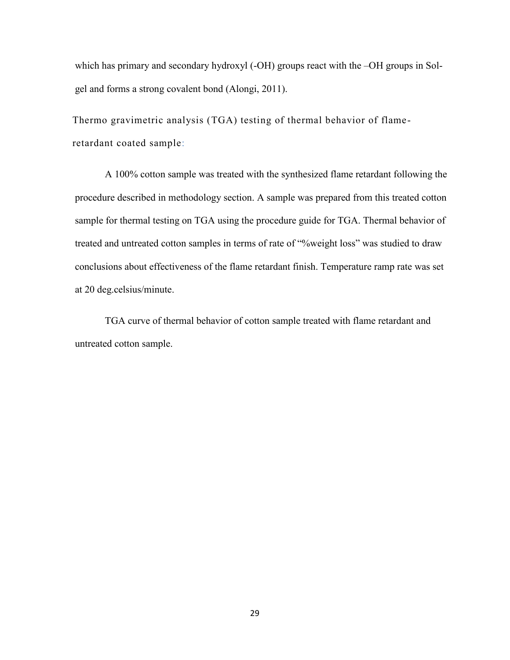which has primary and secondary hydroxyl (-OH) groups react with the -OH groups in Solgel and forms a strong covalent bond (Alongi, 2011).

<span id="page-36-0"></span>Thermo gravimetric analysis (TGA) testing of thermal behavior of flameretardant coated sample:

A 100% cotton sample was treated with the synthesized flame retardant following the procedure described in methodology section. A sample was prepared from this treated cotton sample for thermal testing on TGA using the procedure guide for TGA. Thermal behavior of treated and untreated cotton samples in terms of rate of "%weight loss" was studied to draw conclusions about effectiveness of the flame retardant finish. Temperature ramp rate was set at 20 deg.celsius/minute.

TGA curve of thermal behavior of cotton sample treated with flame retardant and untreated cotton sample.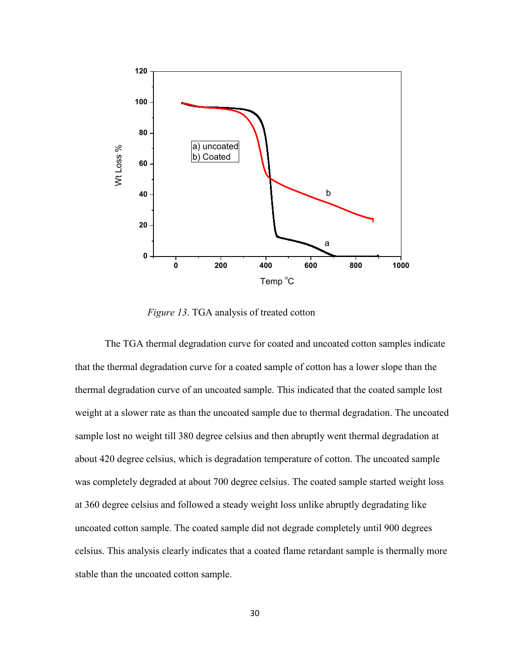

 *Figure 13*. TGA analysis of treated cotton

<span id="page-37-0"></span>The TGA thermal degradation curve for coated and uncoated cotton samples indicate that the thermal degradation curve for a coated sample of cotton has a lower slope than the thermal degradation curve of an uncoated sample. This indicated that the coated sample lost weight at a slower rate as than the uncoated sample due to thermal degradation. The uncoated sample lost no weight till 380 degree celsius and then abruptly went thermal degradation at about 420 degree celsius, which is degradation temperature of cotton. The uncoated sample was completely degraded at about 700 degree celsius. The coated sample started weight loss at 360 degree celsius and followed a steady weight loss unlike abruptly degradating like uncoated cotton sample. The coated sample did not degrade completely until 900 degrees celsius. This analysis clearly indicates that a coated flame retardant sample is thermally more stable than the uncoated cotton sample.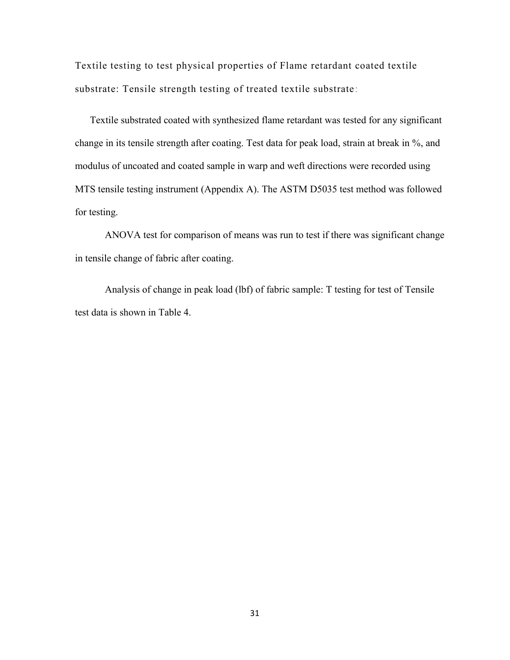<span id="page-38-0"></span>Textile testing to test physical properties of Flame retardant coated textile substrate: Tensile strength testing of treated textile substrate:

Textile substrated coated with synthesized flame retardant was tested for any significant change in its tensile strength after coating. Test data for peak load, strain at break in %, and modulus of uncoated and coated sample in warp and weft directions were recorded using MTS tensile testing instrument (Appendix A). The ASTM D5035 test method was followed for testing.

ANOVA test for comparison of means was run to test if there was significant change in tensile change of fabric after coating.

<span id="page-38-1"></span>Analysis of change in peak load (lbf) of fabric sample: T testing for test of Tensile test data is shown in Table 4.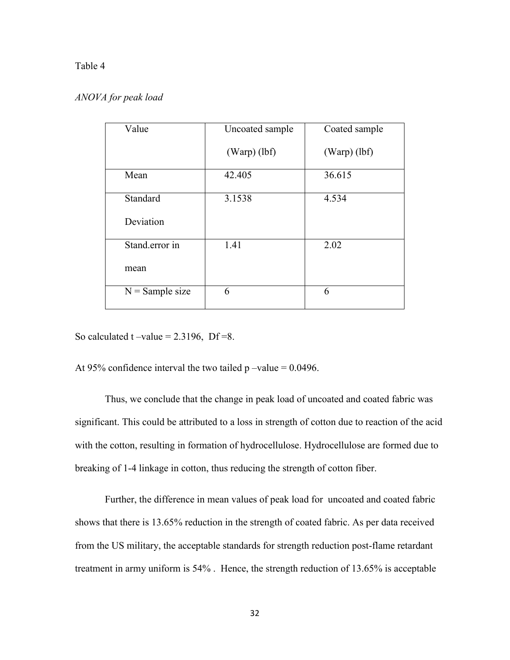#### Table 4

#### *ANOVA for peak load*

| Value             | Uncoated sample | Coated sample  |
|-------------------|-----------------|----------------|
|                   | $(Warp)$ (lbf)  | $(Warp)$ (lbf) |
| Mean              | 42.405          | 36.615         |
| Standard          | 3.1538          | 4.534          |
| Deviation         |                 |                |
| Stand.error in    | 1.41            | 2.02           |
| mean              |                 |                |
| $N =$ Sample size | 6               | 6              |

So calculated  $t$  –value = 2.3196, Df = 8.

At 95% confidence interval the two tailed  $p$  –value = 0.0496.

Thus, we conclude that the change in peak load of uncoated and coated fabric was significant. This could be attributed to a loss in strength of cotton due to reaction of the acid with the cotton, resulting in formation of hydrocellulose. Hydrocellulose are formed due to breaking of 1-4 linkage in cotton, thus reducing the strength of cotton fiber.

Further, the difference in mean values of peak load for uncoated and coated fabric shows that there is 13.65% reduction in the strength of coated fabric. As per data received from the US military, the acceptable standards for strength reduction post-flame retardant treatment in army uniform is 54% . Hence, the strength reduction of 13.65% is acceptable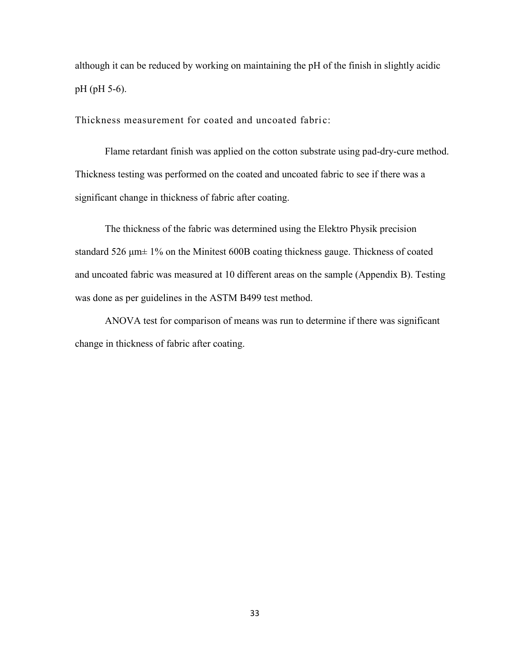although it can be reduced by working on maintaining the pH of the finish in slightly acidic pH (pH 5-6).

<span id="page-40-0"></span>Thickness measurement for coated and uncoated fabric:

Flame retardant finish was applied on the cotton substrate using pad-dry-cure method. Thickness testing was performed on the coated and uncoated fabric to see if there was a significant change in thickness of fabric after coating.

The thickness of the fabric was determined using the Elektro Physik precision standard 526 μm± 1% on the Minitest 600B coating thickness gauge. Thickness of coated and uncoated fabric was measured at 10 different areas on the sample (Appendix B). Testing was done as per guidelines in the ASTM B499 test method.

<span id="page-40-1"></span>ANOVA test for comparison of means was run to determine if there was significant change in thickness of fabric after coating.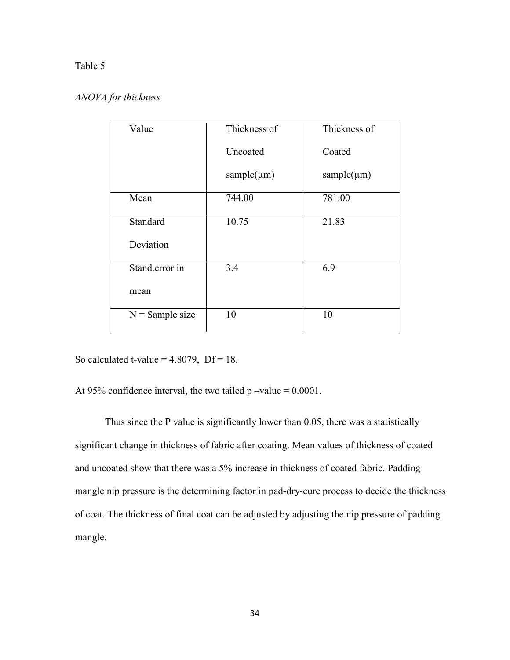#### Table 5

#### *ANOVA for thickness*

| Value             | Thickness of     | Thickness of     |
|-------------------|------------------|------------------|
|                   | Uncoated         | Coated           |
|                   | sample $(\mu m)$ | sample $(\mu m)$ |
| Mean              | 744.00           | 781.00           |
| Standard          | 10.75            | 21.83            |
| Deviation         |                  |                  |
| Stand.error in    | 3.4              | 6.9              |
| mean              |                  |                  |
| $N =$ Sample size | 10               | 10               |

So calculated t-value =  $4.8079$ , Df = 18.

At 95% confidence interval, the two tailed  $p$  –value = 0.0001.

Thus since the P value is significantly lower than 0.05, there was a statistically significant change in thickness of fabric after coating. Mean values of thickness of coated and uncoated show that there was a 5% increase in thickness of coated fabric. Padding mangle nip pressure is the determining factor in pad-dry-cure process to decide the thickness of coat. The thickness of final coat can be adjusted by adjusting the nip pressure of padding mangle.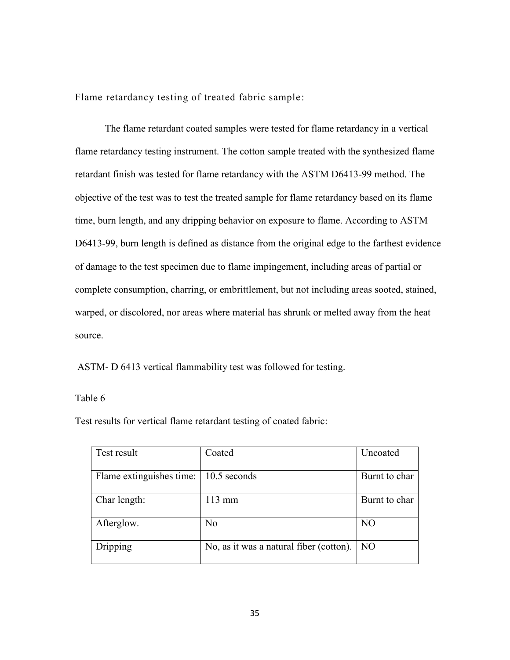<span id="page-42-0"></span>Flame retardancy testing of treated fabric sample:

The flame retardant coated samples were tested for flame retardancy in a vertical flame retardancy testing instrument. The cotton sample treated with the synthesized flame retardant finish was tested for flame retardancy with the ASTM D6413-99 method. The objective of the test was to test the treated sample for flame retardancy based on its flame time, burn length, and any dripping behavior on exposure to flame. According to ASTM D6413-99, burn length is defined as distance from the original edge to the farthest evidence of damage to the test specimen due to flame impingement, including areas of partial or complete consumption, charring, or embrittlement, but not including areas sooted, stained, warped, or discolored, nor areas where material has shrunk or melted away from the heat source.

ASTM- D 6413 vertical flammability test was followed for testing.

#### Table 6

Test results for vertical flame retardant testing of coated fabric:

<span id="page-42-1"></span>

| Test result              | Coated                                  | Uncoated        |
|--------------------------|-----------------------------------------|-----------------|
| Flame extinguishes time: | 10.5 seconds                            | Burnt to char   |
| Char length:             | 113 mm                                  | Burnt to char   |
| Afterglow.               | N <sub>0</sub>                          | N <sub>O</sub>  |
| Dripping                 | No, as it was a natural fiber (cotton). | NO <sub>1</sub> |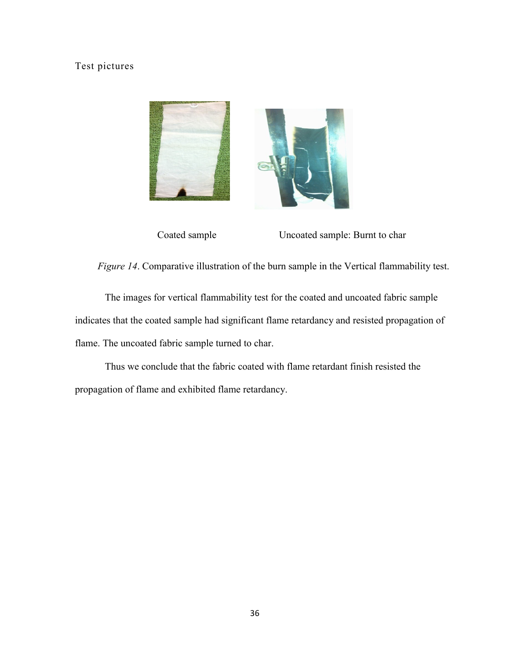### Test pictures



Coated sample Uncoated sample: Burnt to char

 *Figure 14*. Comparative illustration of the burn sample in the Vertical flammability test.

<span id="page-43-0"></span>The images for vertical flammability test for the coated and uncoated fabric sample indicates that the coated sample had significant flame retardancy and resisted propagation of flame. The uncoated fabric sample turned to char.

Thus we conclude that the fabric coated with flame retardant finish resisted the propagation of flame and exhibited flame retardancy.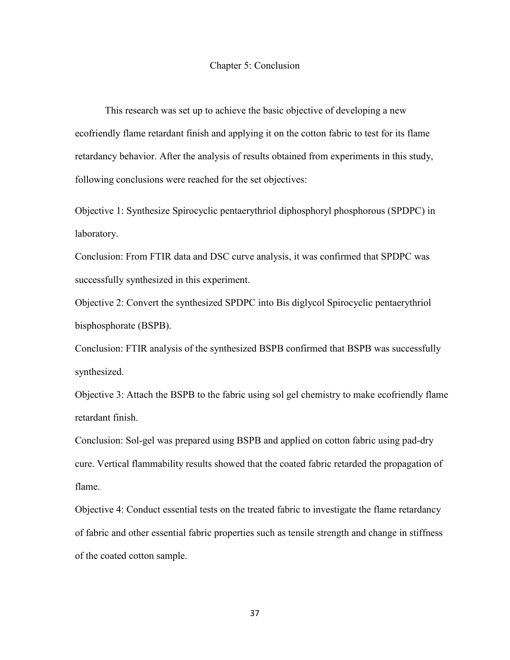#### Chapter 5: Conclusion

<span id="page-44-0"></span>This research was set up to achieve the basic objective of developing a new ecofriendly flame retardant finish and applying it on the cotton fabric to test for its flame retardancy behavior. After the analysis of results obtained from experiments in this study, following conclusions were reached for the set objectives:

Objective 1: Synthesize Spirocyclic pentaerythriol diphosphoryl phosphorous (SPDPC) in laboratory.

Conclusion: From FTIR data and DSC curve analysis, it was confirmed that SPDPC was successfully synthesized in this experiment.

Objective 2: Convert the synthesized SPDPC into Bis diglycol Spirocyclic pentaerythriol bisphosphorate (BSPB).

Conclusion: FTIR analysis of the synthesized BSPB confirmed that BSPB was successfully synthesized.

Objective 3: Attach the BSPB to the fabric using sol gel chemistry to make ecofriendly flame retardant finish.

Conclusion: Sol-gel was prepared using BSPB and applied on cotton fabric using pad-dry cure. Vertical flammability results showed that the coated fabric retarded the propagation of flame.

Objective 4: Conduct essential tests on the treated fabric to investigate the flame retardancy of fabric and other essential fabric properties such as tensile strength and change in stiffness of the coated cotton sample.

37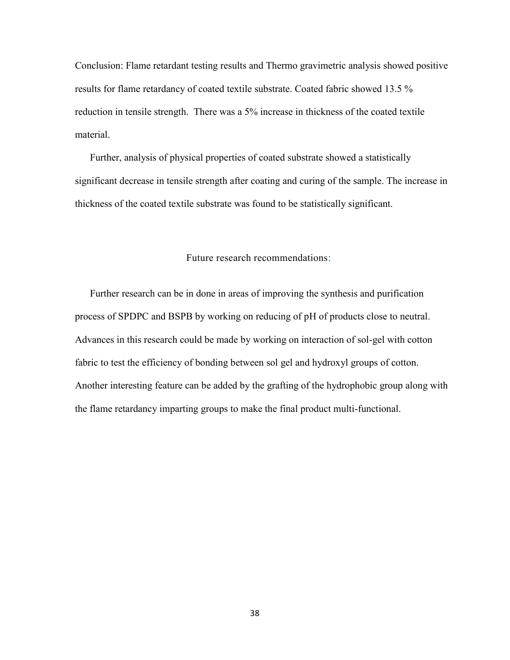Conclusion: Flame retardant testing results and Thermo gravimetric analysis showed positive results for flame retardancy of coated textile substrate. Coated fabric showed 13.5 % reduction in tensile strength. There was a 5% increase in thickness of the coated textile material.

Further, analysis of physical properties of coated substrate showed a statistically significant decrease in tensile strength after coating and curing of the sample. The increase in thickness of the coated textile substrate was found to be statistically significant.

#### <span id="page-45-0"></span>Future research recommendations:

Further research can be in done in areas of improving the synthesis and purification process of SPDPC and BSPB by working on reducing of pH of products close to neutral. Advances in this research could be made by working on interaction of sol-gel with cotton fabric to test the efficiency of bonding between sol gel and hydroxyl groups of cotton. Another interesting feature can be added by the grafting of the hydrophobic group along with the flame retardancy imparting groups to make the final product multi-functional.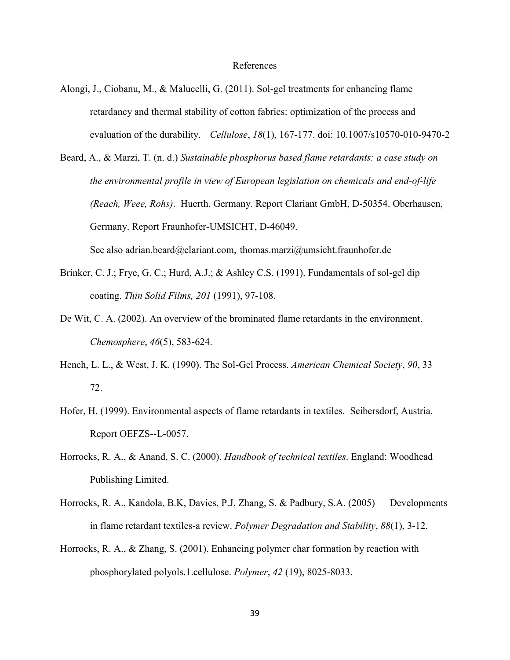#### References

- <span id="page-46-0"></span>Alongi, J., Ciobanu, M., & Malucelli, G. (2011). Sol-gel treatments for enhancing flame retardancy and thermal stability of cotton fabrics: optimization of the process and evaluation of the durability. *Cellulose*, *18*(1), 167-177. doi: 10.1007/s10570-010-9470-2
- Beard, A., & Marzi, T. (n. d.) *Sustainable phosphorus based flame retardants: a case study on the environmental profile in view of European legislation on chemicals and end-of-life (Reach, Weee, Rohs)*. Huerth, Germany. Report Clariant GmbH, D-50354. Oberhausen, Germany. Report Fraunhofer-UMSICHT, D-46049. See also adrian.beard@clariant.com, thomas.marzi@umsicht.fraunhofer.de
- Brinker, C. J.; Frye, G. C.; Hurd, A.J.; & Ashley C.S. (1991). Fundamentals of sol-gel dip coating. *Thin Solid Films, 201* (1991), 97-108.
- De Wit, C. A. (2002). An overview of the brominated flame retardants in the environment. *Chemosphere*, *46*(5), 583-624.
- Hench, L. L., & West, J. K. (1990). The Sol-Gel Process. *American Chemical Society*, *90*, 33 72.
- Hofer, H. (1999). Environmental aspects of flame retardants in textiles. Seibersdorf, Austria. Report OEFZS--L-0057.
- Horrocks, R. A., & Anand, S. C. (2000). *Handbook of technical textiles*. England: Woodhead Publishing Limited.
- Horrocks, R. A., Kandola, B.K, Davies, P.J, Zhang, S. & Padbury, S.A. (2005) Developments in flame retardant textiles-a review. *Polymer Degradation and Stability*, *88*(1), 3-12.
- Horrocks, R. A., & Zhang, S. (2001). Enhancing polymer char formation by reaction with phosphorylated polyols.1.cellulose. *Polymer*, *42* (19), 8025-8033.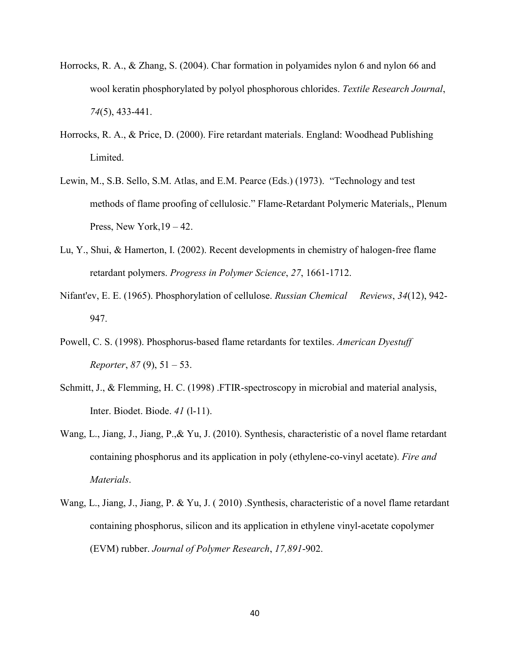- Horrocks, R. A., & Zhang, S. (2004). Char formation in polyamides nylon 6 and nylon 66 and wool keratin phosphorylated by polyol phosphorous chlorides. *Textile Research Journal*, *74*(5), 433-441.
- Horrocks, R. A., & Price, D. (2000). Fire retardant materials. England: Woodhead Publishing Limited.
- Lewin, M., S.B. Sello, S.M. Atlas, and E.M. Pearce (Eds.) (1973). "Technology and test methods of flame proofing of cellulosic." Flame-Retardant Polymeric Materials,, Plenum Press, New York,  $19 - 42$ .
- Lu, Y., Shui, & Hamerton, I. (2002). Recent developments in chemistry of halogen-free flame retardant polymers. *Progress in Polymer Science*, *27*, 1661-1712.
- Nifant'ev, E. E. (1965). Phosphorylation of cellulose. *Russian Chemical Reviews*, *34*(12), 942- 947.
- Powell, C. S. (1998). Phosphorus-based flame retardants for textiles. *American Dyestuff Reporter*, *87* (9), 51 – 53.
- Schmitt, J., & Flemming, H. C. (1998) .FTIR-spectroscopy in microbial and material analysis, Inter. Biodet. Biode. *41* (l-11).
- Wang, L., Jiang, J., Jiang, P.,& Yu, J. (2010). Synthesis, characteristic of a novel flame retardant containing phosphorus and its application in poly (ethylene-co-vinyl acetate). *Fire and Materials*.
- Wang, L., Jiang, J., Jiang, P. & Yu, J. ( 2010) .Synthesis, characteristic of a novel flame retardant containing phosphorus, silicon and its application in ethylene vinyl-acetate copolymer (EVM) rubber. *Journal of Polymer Research*, *17,891*-902.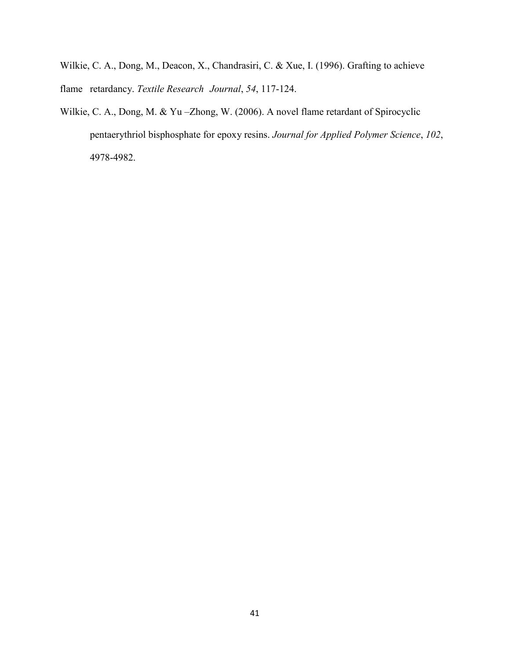Wilkie, C. A., Dong, M., Deacon, X., Chandrasiri, C. & Xue, I. (1996). Grafting to achieve flame retardancy. *Textile Research Journal*, *54*, 117-124.

Wilkie, C. A., Dong, M. & Yu -Zhong, W. (2006). A novel flame retardant of Spirocyclic pentaerythriol bisphosphate for epoxy resins. *Journal for Applied Polymer Science*, *102*, 4978-4982.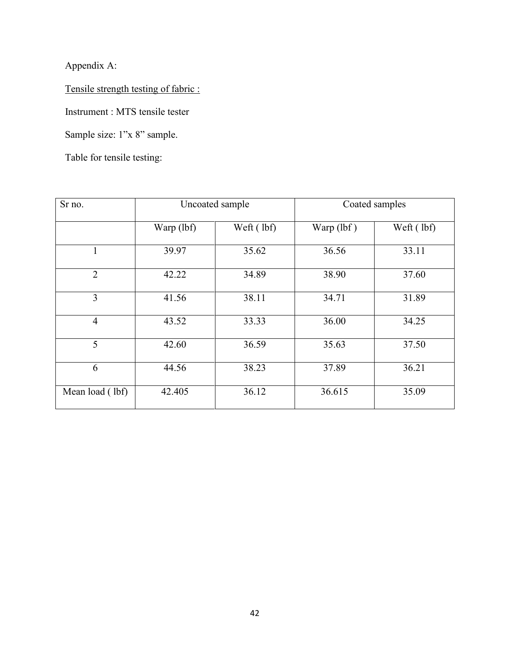Appendix A:

Tensile strength testing of fabric :

Instrument : MTS tensile tester

Sample size: 1"x 8" sample.

Table for tensile testing:

| Sr no.          | Uncoated sample |            | Coated samples |            |
|-----------------|-----------------|------------|----------------|------------|
|                 | Warp (lbf)      | Weft (lbf) | Warp (lbf)     | Weft (lbf) |
| 1               | 39.97           | 35.62      | 36.56          | 33.11      |
| $\overline{2}$  | 42.22           | 34.89      | 38.90          | 37.60      |
| 3               | 41.56           | 38.11      | 34.71          | 31.89      |
| $\overline{4}$  | 43.52           | 33.33      | 36.00          | 34.25      |
| 5               | 42.60           | 36.59      | 35.63          | 37.50      |
| 6               | 44.56           | 38.23      | 37.89          | 36.21      |
| Mean load (lbf) | 42.405          | 36.12      | 36.615         | 35.09      |